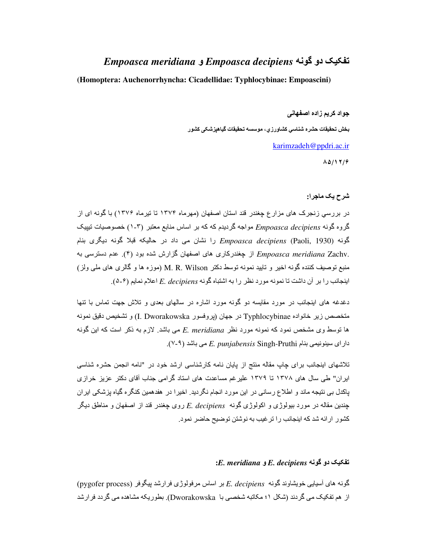## تفکیک دو گونه Empoasca meridiana و Empoasca decipiens

(Homoptera: Auchenorrhyncha: Cicadellidae: Typhlocybinae: Empoascini)

جواد كريم زاده اصفهاني

بخش تحقيقات حشره شناسي كشاورزي، موسسه تحقيقات گياهيزشكي كشور

karimzadeh@ppdri.ac.ir

 $\Lambda\Delta/17/9$ 

شرح يک ماجرا:

در بررسی زنجرک های مزار ع چغندر قند استان اصفهان (مهرماه ۱۳۷۴ تا تیرماه ۱۳۷۶) با گونه ای از گروه گونه Empoasca decipiens مواجه گردیدم که که بر اساس منابع معتبر (۳-۱) خصوصیات نیپیک گونه (Paoli, 1930) Empoasca decipiens را نشان می داد در حالیکه قبلا گونه دیگری بنام .Empoasca meridiana Zachv از چغندرکاری های اصفهان گزارش شده بود (۴). عدم دسترسی به منبع توصیف کننده گونه اخیر و تایید نمونه توسط دکتر M. R. Wilson (موزه ها و گالری های ملی ولز) ابنجانب را بر آن داشت تا نمونه مورد نظر را به اشتباه گونه E. decipiens اعلام نمایم (۵-۶).

دغدغه های ابنجانب در مورد مقابسه دو گونه مورد اشاره در سالهای بعدی و تلاش جهت تماس با تنها متخصص زير خانواده Typhlocybinae در جهان (بروفسور I. Dworakowska) و تشخيص دقيق نمونه ها توسط وی مشخص نمود که نمونه مورد نظر E. meridiana می باشد. لازم به ذکر است که این گونه دارای سینونیمی بنام E. punjabensis Singh-Pruthi می باشد (۹-۷).

تلاشهای اینجانب برای چاپ مقاله منتج از پایان نامه کارشناسی ارشد خود در "نامه انجمن حشره شناسی ایران" طی سال های ۱۳۷۸ تا ۱۳۷۹ علیر غم مساعدت های استاد گرامی جناب آقای دکتر عزیز خرازی بِاكدل بي نتيجه ماند و اطلاع رساني در اين مورد انجام نگرديد. اخيرا در هفدهمين كنگره گياه بزشكي ايران جندین مقاله در مورد بیولوژی و اکولوژی گونه E. decipiens روی جغندر قند از اصفهان و مناطق دیگر کشور ار ائه شد که اینجانب را تر غیب به نوشتن تو ضیح حاضر نمود ِ

## $E.$  meridiana و  $E.$  decipiens تفکیک دو گونه

گونه های آسیایی خویشاوند گونه E. decipiens بر اساس مرفولوژی فرارشد پیگوفر (pygofer process) از ِ هم تفکیک می گر دند (شکل ۱؛ مکاتبه شخصبی با Dworakowska). بطور یکه مشاهده می گر دد فر ار شد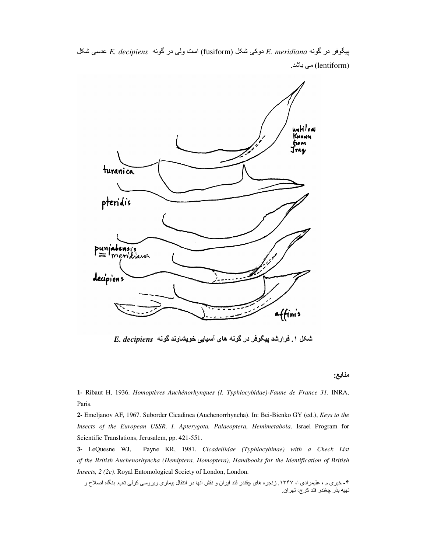iuntil nou<br>Known fio m Jrag turanica pteridis ialensis<br>mendiana  $P^{\text{unial}}$ decipiens affinis

 e;ش 9C *E. decipiens* '() در 9>و Hا) fusiform) e;ش 9.دو *E. meridiana* '() در S(?#پ (lentiform) می باشد .

شکل ۱<sub>.</sub> فرارشد پیگوفر در گونه های آسیایی خویشاوند گونه E. decipiens

منابع:

**1-** Ribaut H, 1936. *Homoptères Auchénorhynques (I. Typhlocybidae)-Faune de France 31*. INRA, Paris.

**2-** Emeljanov AF, 1967. Suborder Cicadinea (Auchenorrhyncha). In: Bei-Bienko GY (ed.), *Keys to the Insects of the European USSR, I. Apterygota, Palaeoptera, Hemimetabola*. Israel Program for Scientific Translations, Jerusalem, pp. 421-551.

**3-** LeQuesne WJ, Payne KR, 1981. *Cicadellidae (Typhlocybinae) with a Check List of the British Auchenorhyncha (Hemiptera, Homoptera), Handbooks for the Identification of British Insects, 2 (2c)*. Royal Entomological Society of London, London.

۴- خیری م ، علیمرادی ا، ۱۳۴۷. زنجره های چقندر قند ایران و نقش آنها در انتقال بیماری ویروسی کرلی تاپ. بنگاه اصلاح و تهيه بذر چغندر قند كر ج، تهر ان.